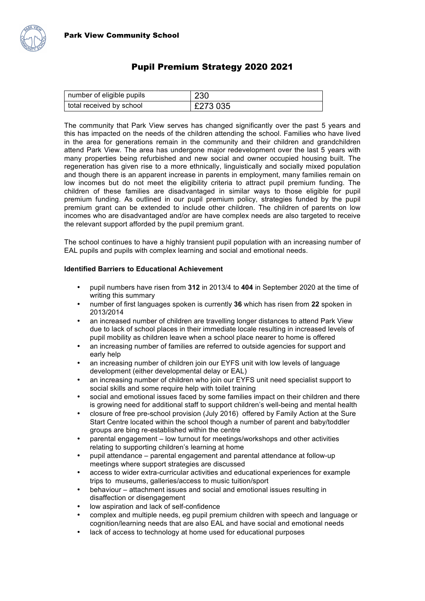

## Pupil Premium Strategy 2020 2021

| number of eligible pupils | 230      |
|---------------------------|----------|
| total received by school  | £273 035 |

The community that Park View serves has changed significantly over the past 5 years and this has impacted on the needs of the children attending the school. Families who have lived in the area for generations remain in the community and their children and grandchildren attend Park View. The area has undergone major redevelopment over the last 5 years with many properties being refurbished and new social and owner occupied housing built. The regeneration has given rise to a more ethnically, linguistically and socially mixed population and though there is an apparent increase in parents in employment, many families remain on low incomes but do not meet the eligibility criteria to attract pupil premium funding. The children of these families are disadvantaged in similar ways to those eligible for pupil premium funding. As outlined in our pupil premium policy, strategies funded by the pupil premium grant can be extended to include other children. The children of parents on low incomes who are disadvantaged and/or are have complex needs are also targeted to receive the relevant support afforded by the pupil premium grant.

The school continues to have a highly transient pupil population with an increasing number of EAL pupils and pupils with complex learning and social and emotional needs.

## **Identified Barriers to Educational Achievement**

- pupil numbers have risen from **312** in 2013/4 to **404** in September 2020 at the time of writing this summary
- number of first languages spoken is currently **36** which has risen from **22** spoken in 2013/2014
- an increased number of children are travelling longer distances to attend Park View due to lack of school places in their immediate locale resulting in increased levels of pupil mobility as children leave when a school place nearer to home is offered
- an increasing number of families are referred to outside agencies for support and early help
- an increasing number of children join our EYFS unit with low levels of language development (either developmental delay or EAL)
- an increasing number of children who join our EYFS unit need specialist support to social skills and some require help with toilet training
- social and emotional issues faced by some families impact on their children and there is growing need for additional staff to support children's well-being and mental health
- closure of free pre-school provision (July 2016) offered by Family Action at the Sure Start Centre located within the school though a number of parent and baby/toddler groups are bing re-established within the centre
- parental engagement low turnout for meetings/workshops and other activities relating to supporting children's learning at home
- pupil attendance parental engagement and parental attendance at follow-up meetings where support strategies are discussed
- access to wider extra-curricular activities and educational experiences for example trips to museums, galleries/access to music tuition/sport
- behaviour attachment issues and social and emotional issues resulting in disaffection or disengagement
- low aspiration and lack of self-confidence
- complex and multiple needs, eg pupil premium children with speech and language or cognition/learning needs that are also EAL and have social and emotional needs
- lack of access to technology at home used for educational purposes